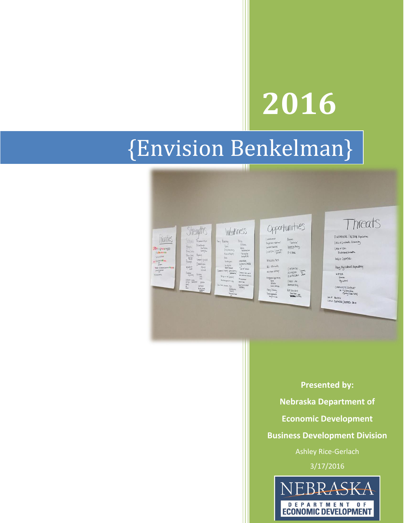# **2016**

# {Envision Benkelman}

ш



**Presented by: Nebraska Department of Economic Development Business Development Division** Ashley Rice-Gerlach 3/17/2016EBRASKA

> DEPARTMENT OF **ECONOMIC DEVELOPMENT**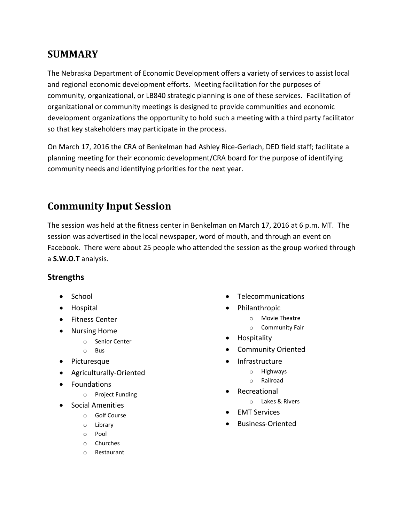### **SUMMARY**

The Nebraska Department of Economic Development offers a variety of services to assist local and regional economic development efforts. Meeting facilitation for the purposes of community, organizational, or LB840 strategic planning is one of these services. Facilitation of organizational or community meetings is designed to provide communities and economic development organizations the opportunity to hold such a meeting with a third party facilitator so that key stakeholders may participate in the process.

On March 17, 2016 the CRA of Benkelman had Ashley Rice-Gerlach, DED field staff; facilitate a planning meeting for their economic development/CRA board for the purpose of identifying community needs and identifying priorities for the next year.

# **Community Input Session**

The session was held at the fitness center in Benkelman on March 17, 2016 at 6 p.m. MT. The session was advertised in the local newspaper, word of mouth, and through an event on Facebook. There were about 25 people who attended the session as the group worked through a **S.W.O.T** analysis.

#### **Strengths**

- School
- Hospital
- Fitness Center
- Nursing Home
	- o Senior Center
	- o Bus
- Picturesque
- Agriculturally-Oriented
- Foundations
	- o Project Funding
- Social Amenities
	- o Golf Course
	- o Library
	- o Pool
	- o Churches
	- o Restaurant
- Telecommunications
- Philanthropic
	- o Movie Theatre
	- o Community Fair
- Hospitality
- Community Oriented
- Infrastructure
	- o Highways
	- o Railroad
- Recreational
	- o Lakes & Rivers
- EMT Services
- Business-Oriented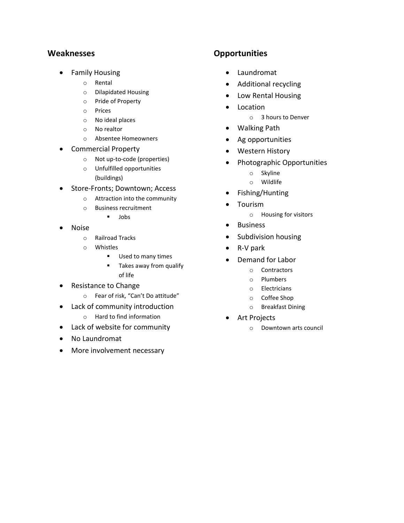#### **Weaknesses**

- **•** Family Housing
	- o Rental
	- o Dilapidated Housing
	- o Pride of Property
	- o Prices
	- o No ideal places
	- o No realtor
	- o Absentee Homeowners
- Commercial Property
	- o Not up-to-code (properties)
	- o Unfulfilled opportunities (buildings)
- Store-Fronts; Downtown; Access
	- o Attraction into the community
	- o Business recruitment
		- $I$  Jobs
- Noise
	- o Railroad Tracks
	- o Whistles
		- Used to many times
		- **Takes away from qualify** of life
- Resistance to Change
	- o Fear of risk, "Can't Do attitude"
- Lack of community introduction
	- o Hard to find information
- Lack of website for community
- No Laundromat
- More involvement necessary

#### **Opportunities**

- Laundromat
- Additional recycling
- Low Rental Housing
- Location
	- o 3 hours to Denver
- Walking Path
- Ag opportunities
- Western History
- Photographic Opportunities
	- o Skyline
	- o Wildlife
- Fishing/Hunting
- Tourism
	- o Housing for visitors
- Business
- Subdivision housing
- R-V park
- Demand for Labor
	- o Contractors
	- o Plumbers
	- o Electricians
	- o Coffee Shop
	- o Breakfast Dining
- Art Projects
	- o Downtown arts council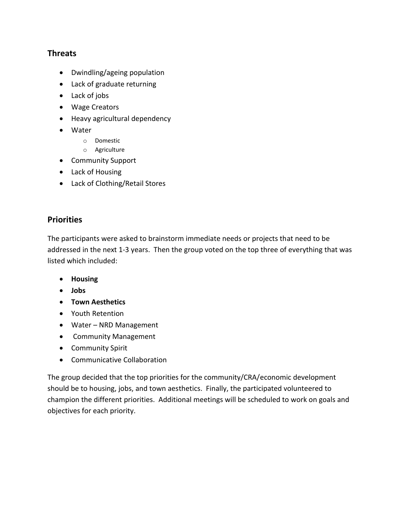#### **Threats**

- Dwindling/ageing population
- Lack of graduate returning
- Lack of jobs
- Wage Creators
- Heavy agricultural dependency
- Water
	- o Domestic
	- o Agriculture
- Community Support
- Lack of Housing
- Lack of Clothing/Retail Stores

#### **Priorities**

The participants were asked to brainstorm immediate needs or projects that need to be addressed in the next 1-3 years. Then the group voted on the top three of everything that was listed which included:

- **Housing**
- **Jobs**
- **Town Aesthetics**
- Youth Retention
- Water NRD Management
- Community Management
- Community Spirit
- Communicative Collaboration

The group decided that the top priorities for the community/CRA/economic development should be to housing, jobs, and town aesthetics. Finally, the participated volunteered to champion the different priorities. Additional meetings will be scheduled to work on goals and objectives for each priority.